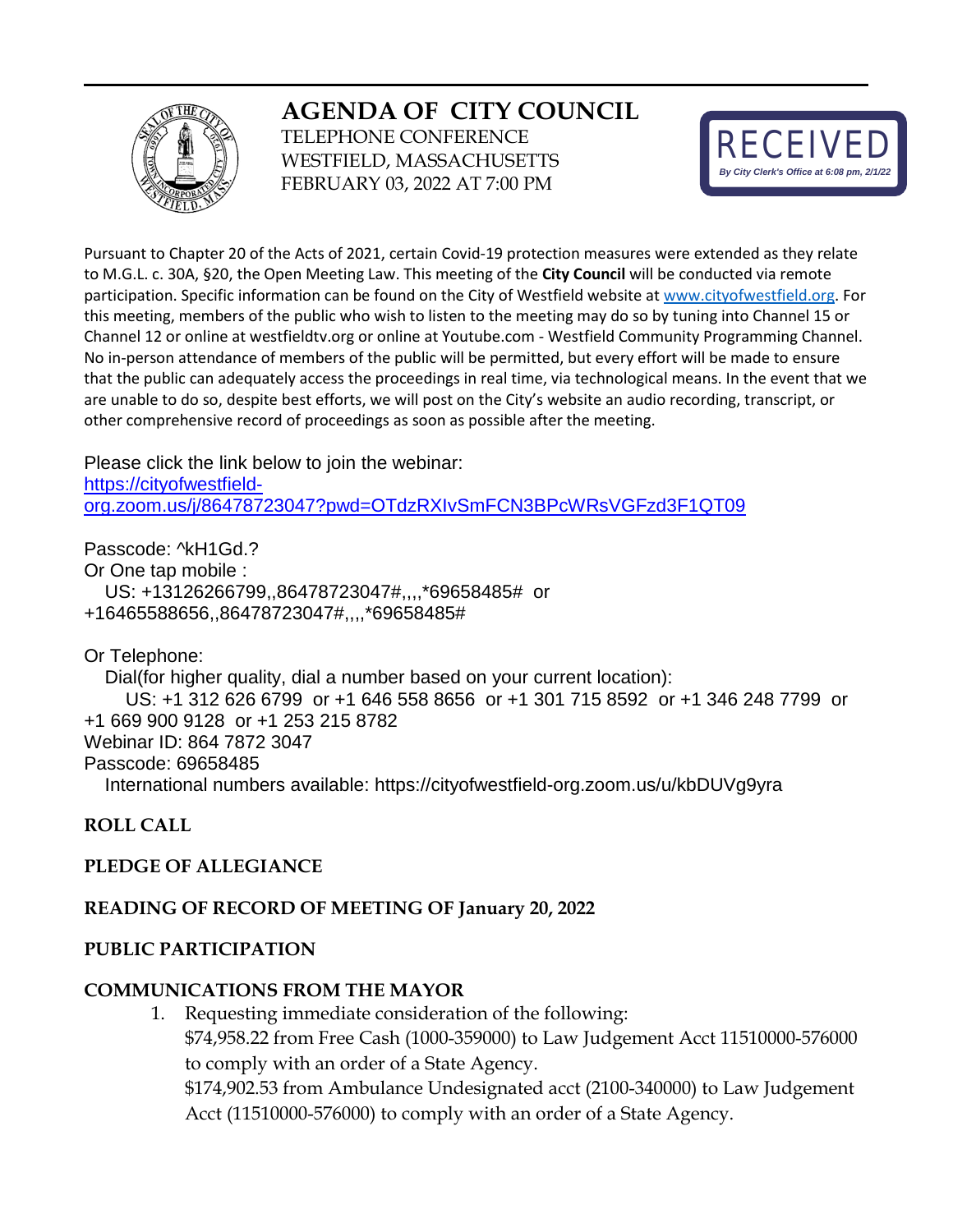# **AGENDA OF CITY COUNCIL**



TELEPHONE CONFERENCE WESTFIELD, MASSACHUSETTS FEBRUARY 03, 2022 AT 7:00 PM



Pursuant to Chapter 20 of the Acts of 2021, certain Covid-19 protection measures were extended as they relate to M.G.L. c. 30A, §20, the Open Meeting Law. This meeting of the **City Council** will be conducted via remote participation. Specific information can be found on the City of Westfield website a[t www.cityofwestfield.org.](http://www.cityofwestfield.org/) For this meeting, members of the public who wish to listen to the meeting may do so by tuning into Channel 15 or Channel 12 or online at westfieldtv.org or online at Youtube.com - Westfield Community Programming Channel. No in-person attendance of members of the public will be permitted, but every effort will be made to ensure that the public can adequately access the proceedings in real time, via technological means. In the event that we are unable to do so, despite best efforts, we will post on the City's website an audio recording, transcript, or other comprehensive record of proceedings as soon as possible after the meeting.

Please click the link below to join the webinar: [https://cityofwestfield](https://cityofwestfield-org.zoom.us/j/86478723047?pwd=OTdzRXIvSmFCN3BPcWRsVGFzd3F1QT09)[org.zoom.us/j/86478723047?pwd=OTdzRXIvSmFCN3BPcWRsVGFzd3F1QT09](https://cityofwestfield-org.zoom.us/j/86478723047?pwd=OTdzRXIvSmFCN3BPcWRsVGFzd3F1QT09)

Passcode: ^kH1Gd.? Or One tap mobile : US: +13126266799,,86478723047#,,,,\*69658485# or +16465588656,,86478723047#,,,,\*69658485#

Or Telephone:

 Dial(for higher quality, dial a number based on your current location): US: +1 312 626 6799 or +1 646 558 8656 or +1 301 715 8592 or +1 346 248 7799 or +1 669 900 9128 or +1 253 215 8782 Webinar ID: 864 7872 3047 Passcode: 69658485 International numbers available: https://cityofwestfield-org.zoom.us/u/kbDUVg9yra

**ROLL CALL**

## **PLEDGE OF ALLEGIANCE**

#### **READING OF RECORD OF MEETING OF January 20, 2022**

#### **PUBLIC PARTICIPATION**

#### **COMMUNICATIONS FROM THE MAYOR**

1. Requesting immediate consideration of the following: \$74,958.22 from Free Cash (1000-359000) to Law Judgement Acct 11510000-576000 to comply with an order of a State Agency. \$174,902.53 from Ambulance Undesignated acct (2100-340000) to Law Judgement Acct (11510000-576000) to comply with an order of a State Agency.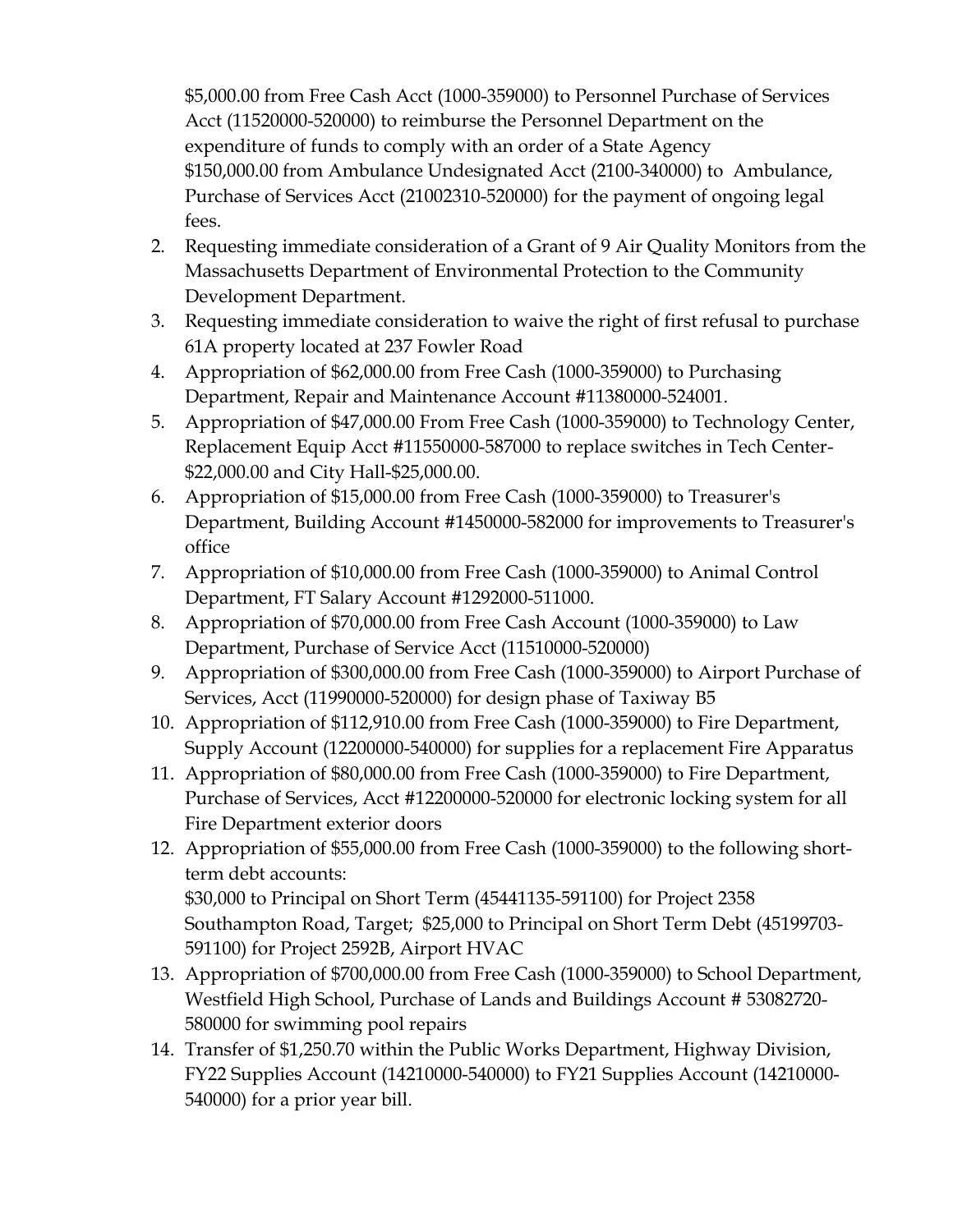\$5,000.00 from Free Cash Acct (1000-359000) to Personnel Purchase of Services Acct (11520000-520000) to reimburse the Personnel Department on the expenditure of funds to comply with an order of a State Agency \$150,000.00 from Ambulance Undesignated Acct (2100-340000) to Ambulance, Purchase of Services Acct (21002310-520000) for the payment of ongoing legal fees.

- 2. Requesting immediate consideration of a Grant of 9 Air Quality Monitors from the Massachusetts Department of Environmental Protection to the Community Development Department.
- 3. Requesting immediate consideration to waive the right of first refusal to purchase 61A property located at 237 Fowler Road
- 4. Appropriation of \$62,000.00 from Free Cash (1000-359000) to Purchasing Department, Repair and Maintenance Account #11380000-524001.
- 5. Appropriation of \$47,000.00 From Free Cash (1000-359000) to Technology Center, Replacement Equip Acct #11550000-587000 to replace switches in Tech Center- \$22,000.00 and City Hall-\$25,000.00.
- 6. Appropriation of \$15,000.00 from Free Cash (1000-359000) to Treasurer's Department, Building Account #1450000-582000 for improvements to Treasurer's office
- 7. Appropriation of \$10,000.00 from Free Cash (1000-359000) to Animal Control Department, FT Salary Account #1292000-511000.
- 8. Appropriation of \$70,000.00 from Free Cash Account (1000-359000) to Law Department, Purchase of Service Acct (11510000-520000)
- 9. Appropriation of \$300,000.00 from Free Cash (1000-359000) to Airport Purchase of Services, Acct (11990000-520000) for design phase of Taxiway B5
- 10. Appropriation of \$112,910.00 from Free Cash (1000-359000) to Fire Department, Supply Account (12200000-540000) for supplies for a replacement Fire Apparatus
- 11. Appropriation of \$80,000.00 from Free Cash (1000-359000) to Fire Department, Purchase of Services, Acct #12200000-520000 for electronic locking system for all Fire Department exterior doors
- 12. Appropriation of \$55,000.00 from Free Cash (1000-359000) to the following shortterm debt accounts: \$30,000 to Principal on Short Term (45441135-591100) for Project 2358 Southampton Road, Target; \$25,000 to Principal on Short Term Debt (45199703- 591100) for Project 2592B, Airport HVAC
- 13. Appropriation of \$700,000.00 from Free Cash (1000-359000) to School Department, Westfield High School, Purchase of Lands and Buildings Account # 53082720- 580000 for swimming pool repairs
- 14. Transfer of \$1,250.70 within the Public Works Department, Highway Division, FY22 Supplies Account (14210000-540000) to FY21 Supplies Account (14210000- 540000) for a prior year bill.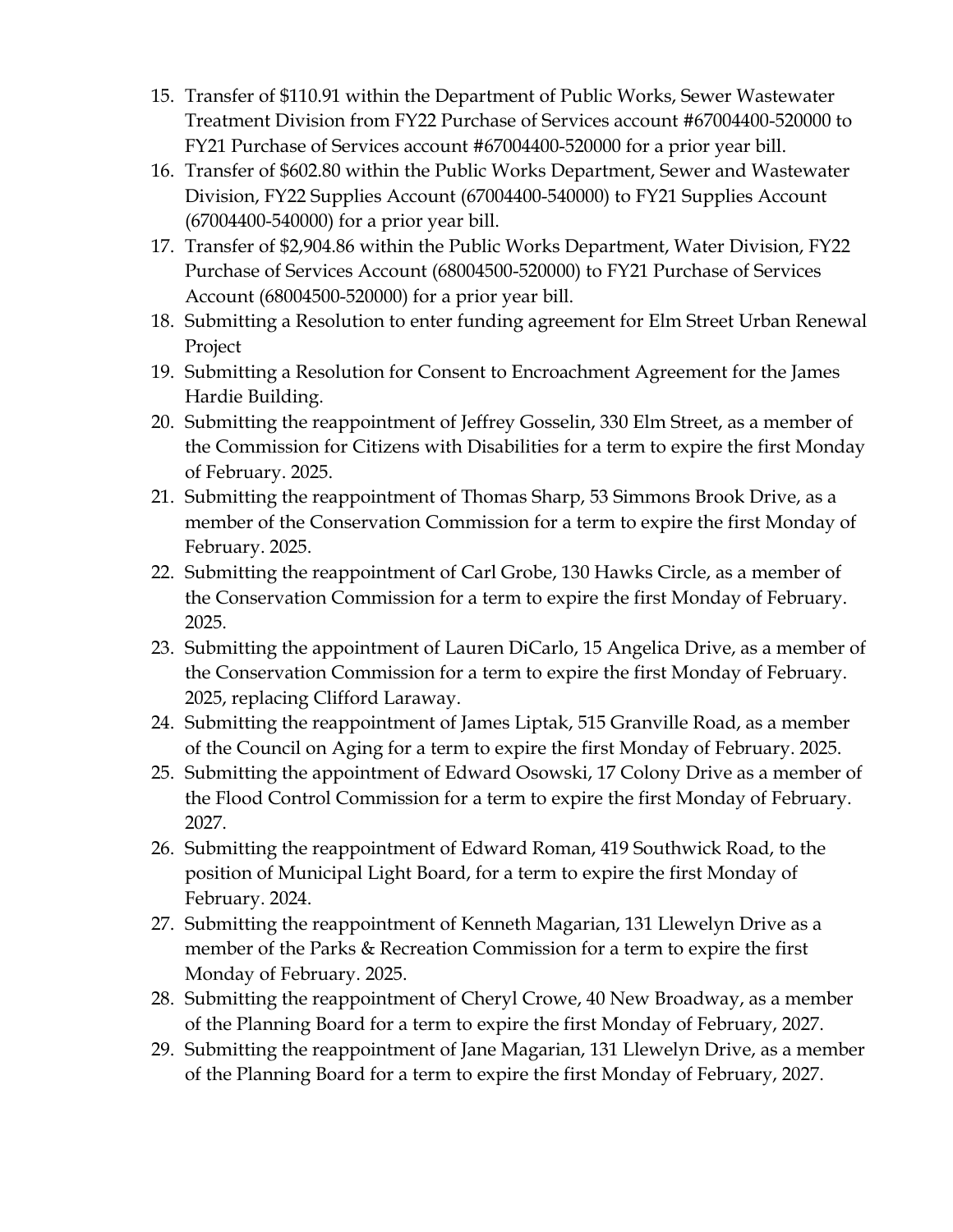- 15. Transfer of \$110.91 within the Department of Public Works, Sewer Wastewater Treatment Division from FY22 Purchase of Services account #67004400-520000 to FY21 Purchase of Services account #67004400-520000 for a prior year bill.
- 16. Transfer of \$602.80 within the Public Works Department, Sewer and Wastewater Division, FY22 Supplies Account (67004400-540000) to FY21 Supplies Account (67004400-540000) for a prior year bill.
- 17. Transfer of \$2,904.86 within the Public Works Department, Water Division, FY22 Purchase of Services Account (68004500-520000) to FY21 Purchase of Services Account (68004500-520000) for a prior year bill.
- 18. Submitting a Resolution to enter funding agreement for Elm Street Urban Renewal Project
- 19. Submitting a Resolution for Consent to Encroachment Agreement for the James Hardie Building.
- 20. Submitting the reappointment of Jeffrey Gosselin, 330 Elm Street, as a member of the Commission for Citizens with Disabilities for a term to expire the first Monday of February. 2025.
- 21. Submitting the reappointment of Thomas Sharp, 53 Simmons Brook Drive, as a member of the Conservation Commission for a term to expire the first Monday of February. 2025.
- 22. Submitting the reappointment of Carl Grobe, 130 Hawks Circle, as a member of the Conservation Commission for a term to expire the first Monday of February. 2025.
- 23. Submitting the appointment of Lauren DiCarlo, 15 Angelica Drive, as a member of the Conservation Commission for a term to expire the first Monday of February. 2025, replacing Clifford Laraway.
- 24. Submitting the reappointment of James Liptak, 515 Granville Road, as a member of the Council on Aging for a term to expire the first Monday of February. 2025.
- 25. Submitting the appointment of Edward Osowski, 17 Colony Drive as a member of the Flood Control Commission for a term to expire the first Monday of February. 2027.
- 26. Submitting the reappointment of Edward Roman, 419 Southwick Road, to the position of Municipal Light Board, for a term to expire the first Monday of February. 2024.
- 27. Submitting the reappointment of Kenneth Magarian, 131 Llewelyn Drive as a member of the Parks & Recreation Commission for a term to expire the first Monday of February. 2025.
- 28. Submitting the reappointment of Cheryl Crowe, 40 New Broadway, as a member of the Planning Board for a term to expire the first Monday of February, 2027.
- 29. Submitting the reappointment of Jane Magarian, 131 Llewelyn Drive, as a member of the Planning Board for a term to expire the first Monday of February, 2027.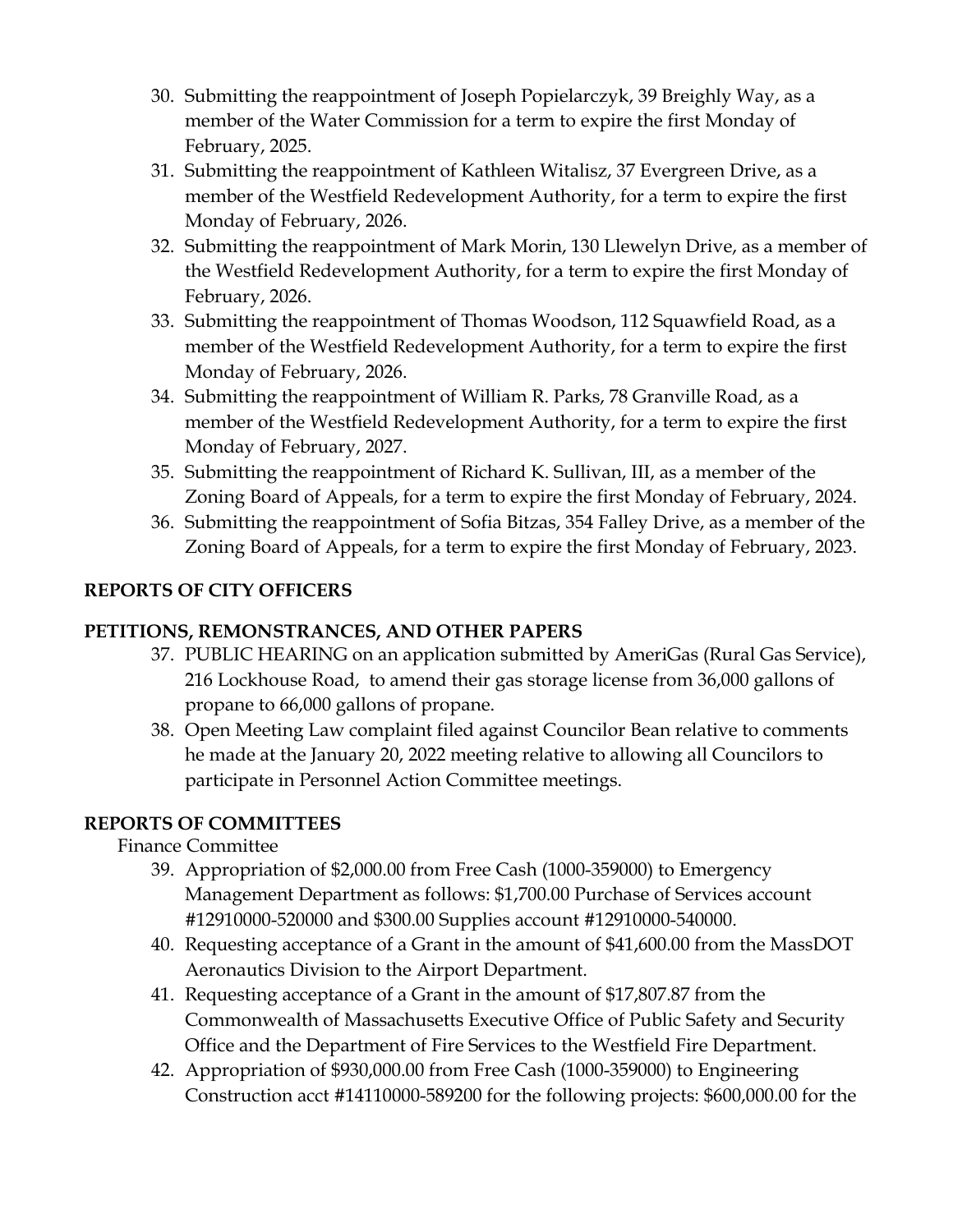- 30. Submitting the reappointment of Joseph Popielarczyk, 39 Breighly Way, as a member of the Water Commission for a term to expire the first Monday of February, 2025.
- 31. Submitting the reappointment of Kathleen Witalisz, 37 Evergreen Drive, as a member of the Westfield Redevelopment Authority, for a term to expire the first Monday of February, 2026.
- 32. Submitting the reappointment of Mark Morin, 130 Llewelyn Drive, as a member of the Westfield Redevelopment Authority, for a term to expire the first Monday of February, 2026.
- 33. Submitting the reappointment of Thomas Woodson, 112 Squawfield Road, as a member of the Westfield Redevelopment Authority, for a term to expire the first Monday of February, 2026.
- 34. Submitting the reappointment of William R. Parks, 78 Granville Road, as a member of the Westfield Redevelopment Authority, for a term to expire the first Monday of February, 2027.
- 35. Submitting the reappointment of Richard K. Sullivan, III, as a member of the Zoning Board of Appeals, for a term to expire the first Monday of February, 2024.
- 36. Submitting the reappointment of Sofia Bitzas, 354 Falley Drive, as a member of the Zoning Board of Appeals, for a term to expire the first Monday of February, 2023.

## **REPORTS OF CITY OFFICERS**

#### **PETITIONS, REMONSTRANCES, AND OTHER PAPERS**

- 37. PUBLIC HEARING on an application submitted by AmeriGas (Rural Gas Service), 216 Lockhouse Road, to amend their gas storage license from 36,000 gallons of propane to 66,000 gallons of propane.
- 38. Open Meeting Law complaint filed against Councilor Bean relative to comments he made at the January 20, 2022 meeting relative to allowing all Councilors to participate in Personnel Action Committee meetings.

## **REPORTS OF COMMITTEES**

Finance Committee

- 39. Appropriation of \$2,000.00 from Free Cash (1000-359000) to Emergency Management Department as follows: \$1,700.00 Purchase of Services account #12910000-520000 and \$300.00 Supplies account #12910000-540000.
- 40. Requesting acceptance of a Grant in the amount of \$41,600.00 from the MassDOT Aeronautics Division to the Airport Department.
- 41. Requesting acceptance of a Grant in the amount of \$17,807.87 from the Commonwealth of Massachusetts Executive Office of Public Safety and Security Office and the Department of Fire Services to the Westfield Fire Department.
- 42. Appropriation of \$930,000.00 from Free Cash (1000-359000) to Engineering Construction acct #14110000-589200 for the following projects: \$600,000.00 for the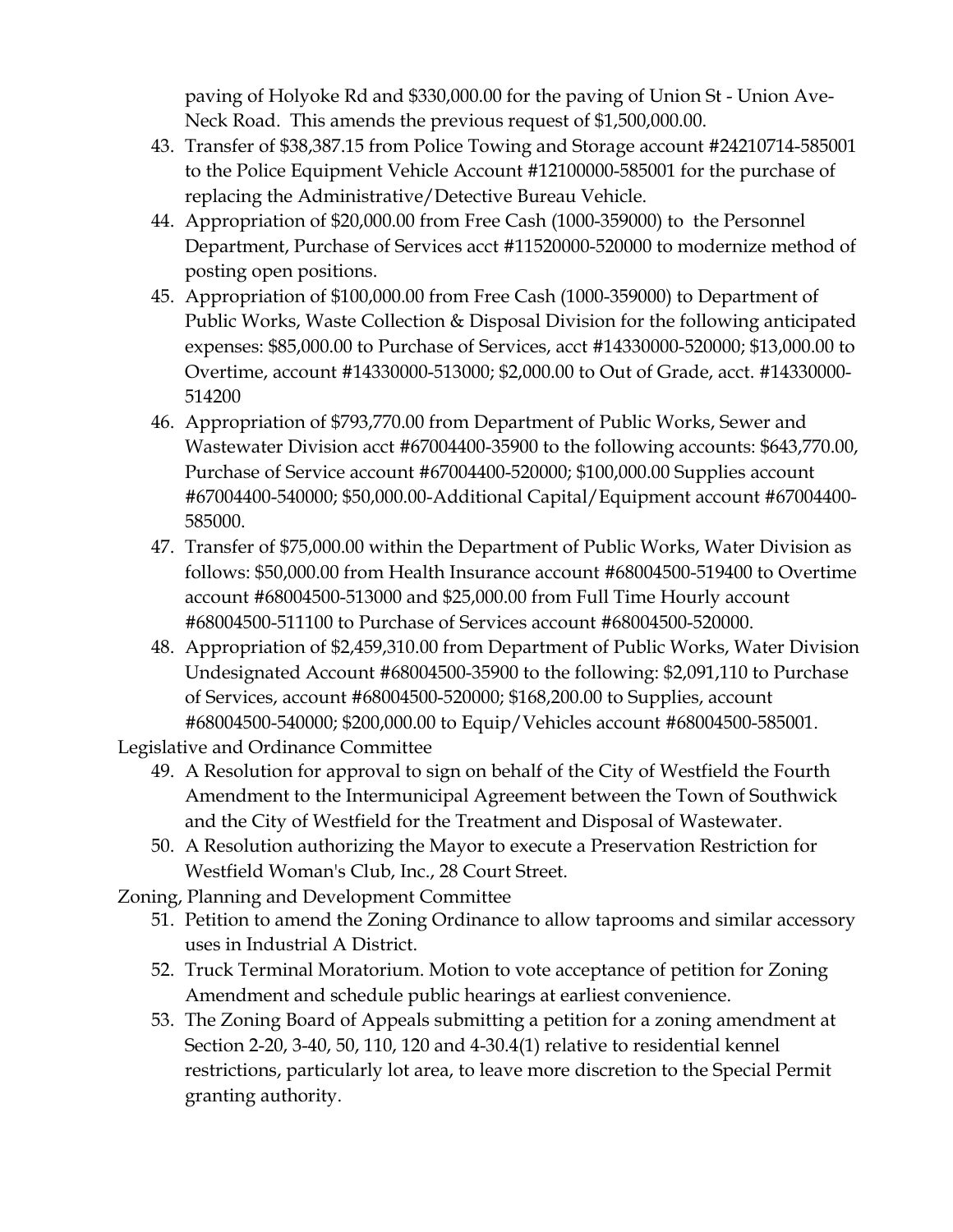paving of Holyoke Rd and \$330,000.00 for the paving of Union St - Union Ave-Neck Road. This amends the previous request of \$1,500,000.00.

- 43. Transfer of \$38,387.15 from Police Towing and Storage account #24210714-585001 to the Police Equipment Vehicle Account #12100000-585001 for the purchase of replacing the Administrative/Detective Bureau Vehicle.
- 44. Appropriation of \$20,000.00 from Free Cash (1000-359000) to the Personnel Department, Purchase of Services acct #11520000-520000 to modernize method of posting open positions.
- 45. Appropriation of \$100,000.00 from Free Cash (1000-359000) to Department of Public Works, Waste Collection & Disposal Division for the following anticipated expenses: \$85,000.00 to Purchase of Services, acct #14330000-520000; \$13,000.00 to Overtime, account #14330000-513000; \$2,000.00 to Out of Grade, acct. #14330000- 514200
- 46. Appropriation of \$793,770.00 from Department of Public Works, Sewer and Wastewater Division acct #67004400-35900 to the following accounts: \$643,770.00, Purchase of Service account #67004400-520000; \$100,000.00 Supplies account #67004400-540000; \$50,000.00-Additional Capital/Equipment account #67004400- 585000.
- 47. Transfer of \$75,000.00 within the Department of Public Works, Water Division as follows: \$50,000.00 from Health Insurance account #68004500-519400 to Overtime account #68004500-513000 and \$25,000.00 from Full Time Hourly account #68004500-511100 to Purchase of Services account #68004500-520000.
- 48. Appropriation of \$2,459,310.00 from Department of Public Works, Water Division Undesignated Account #68004500-35900 to the following: \$2,091,110 to Purchase of Services, account #68004500-520000; \$168,200.00 to Supplies, account #68004500-540000; \$200,000.00 to Equip/Vehicles account #68004500-585001.

Legislative and Ordinance Committee

- 49. A Resolution for approval to sign on behalf of the City of Westfield the Fourth Amendment to the Intermunicipal Agreement between the Town of Southwick and the City of Westfield for the Treatment and Disposal of Wastewater.
- 50. A Resolution authorizing the Mayor to execute a Preservation Restriction for Westfield Woman's Club, Inc., 28 Court Street.
- Zoning, Planning and Development Committee
	- 51. Petition to amend the Zoning Ordinance to allow taprooms and similar accessory uses in Industrial A District.
	- 52. Truck Terminal Moratorium. Motion to vote acceptance of petition for Zoning Amendment and schedule public hearings at earliest convenience.
	- 53. The Zoning Board of Appeals submitting a petition for a zoning amendment at Section 2-20, 3-40, 50, 110, 120 and 4-30.4(1) relative to residential kennel restrictions, particularly lot area, to leave more discretion to the Special Permit granting authority.